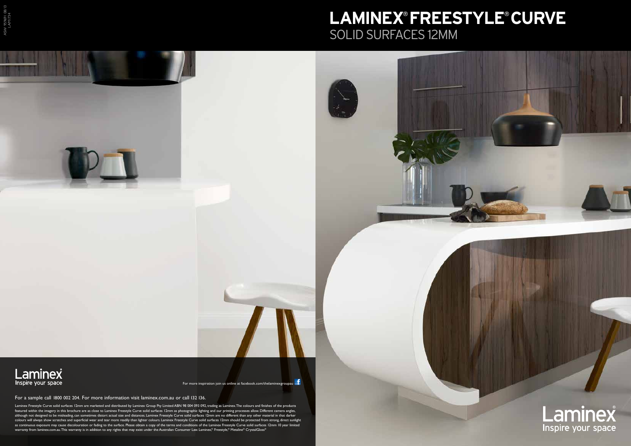## Laminex Inspire your space



Laminex Freestyle Curve solid surfaces 12mm are marketed and distributed by Laminex Group Pty Limited ABN 98 004 093 092, trading as Laminex. The colours and finishes of the products featured within the imagery in this brochure are as close to Laminex Freestyle Curve solid surfaces 12mm as photographic lighting and our printing processes allow. Different camera angles, although not designed to be misleading, can sometimes distort actual size and distances. Laminex Freestyle Curve solid surfaces 12mm are no different than any other material in that darker colours will always show scratches and superficial wear and tear more readily than lighter colours. Laminex Freestyle Curve solid surfaces 12mm should be protected from strong, direct sunlight as continuous exposure may cause discolouration or fading to the surface. Please obtain a copy of the terms and conditions of the Laminex Freestyle Curve solid surfaces 12mm 10 year limited warranty from laminex.com.au. This warranty is in addition to any rights that may exist under the Australian Consumer Law. Laminex® Freestyle® Metaline® CrystalGloss®

For a sample call 1800 002 204. For more information visit laminex.com.au or call 132 136.